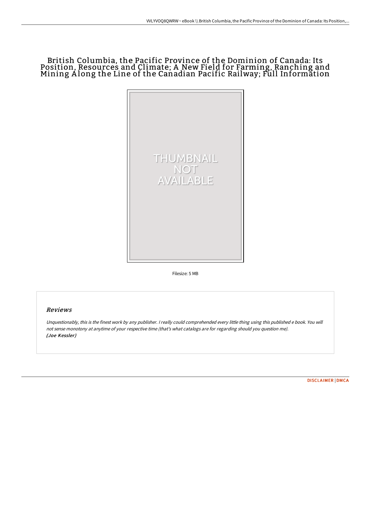# British Columbia, the Pacific Province of the Dominion of Canada: Its Position, Resources and Climate; A New Field for Farming, Ranching and Mining A long the Line of the Canadian Pacific Railway; Full Information



Filesize: 5 MB

# Reviews

Unquestionably, this is the finest work by any publisher. <sup>I</sup> really could comprehended every little thing using this published <sup>e</sup> book. You will not sense monotony at anytime of your respective time (that's what catalogs are for regarding should you question me). (Joe Kessler)

[DISCLAIMER](http://techno-pub.tech/disclaimer.html) | [DMCA](http://techno-pub.tech/dmca.html)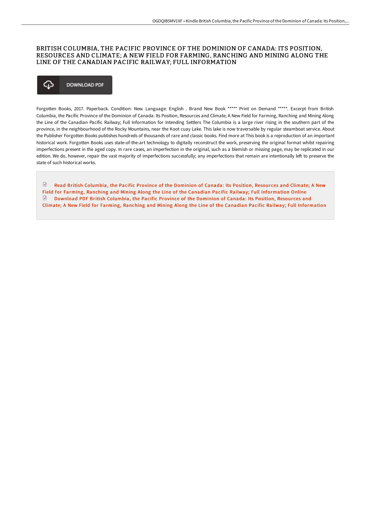# BRITISH COLUMBIA, THE PACIFIC PROVINCE OF THE DOMINION OF CANADA: ITS POSITION, RESOURCES AND CLIMATE; A NEW FIELD FOR FARMING, RANCHING AND MINING ALONG THE LINE OF THE CANADIAN PACIFIC RAILWAY; FULL INFORMATION

## ঞ **DOWNLOAD PDF**

Forgotten Books, 2017. Paperback. Condition: New. Language: English . Brand New Book \*\*\*\*\* Print on Demand \*\*\*\*\*. Excerpt from British Columbia, the Pacific Province of the Dominion of Canada: Its Position, Resources and Climate; A New Field for Farming, Ranching and Mining Along the Line of the Canadian Pacific Railway; Full Information for Intending Settlers The Columbia is a large river rising in the southern part of the province, in the neighbourhood of the Rocky Mountains, near the Koot cuay Lake. This lake is now traversable by regular steamboat service. About the Publisher Forgotten Books publishes hundreds of thousands of rare and classic books. Find more at This book is a reproduction of an important historical work. Forgotten Books uses state-of-the-art technology to digitally reconstruct the work, preserving the original format whilst repairing imperfections present in the aged copy. In rare cases, an imperfection in the original, such as a blemish or missing page, may be replicated in our edition. We do, however, repair the vast majority of imperfections successfully; any imperfections that remain are intentionally left to preserve the state of such historical works.

 $\mathbb B$ Read British Columbia, the Pacific Province of the Dominion of Canada: Its Position, Resources and Climate; A New Field for Farming, Ranching and Mining Along the Line of the Canadian Pacific Railway; Full [Information](http://techno-pub.tech/british-columbia-the-pacific-province-of-the-dom.html) Online Download PDF British Columbia, the Pacific Province of the Dominion of Canada: Its Position, Resources and Climate; A New Field for Farming, Ranching and Mining Along the Line of the Canadian Pacific Railway; Full [Information](http://techno-pub.tech/british-columbia-the-pacific-province-of-the-dom.html)